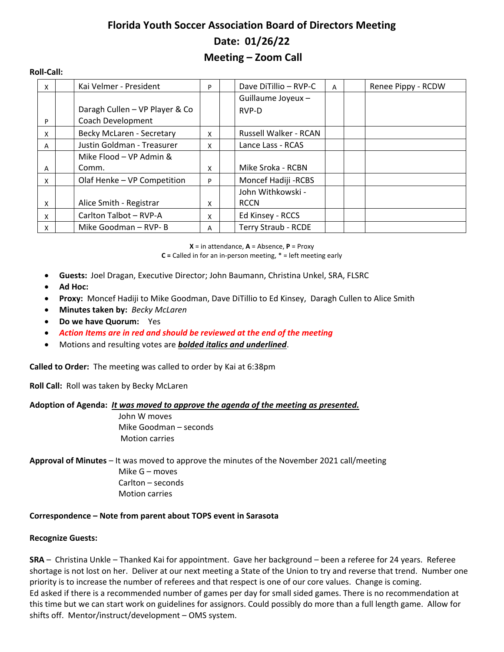# **Florida Youth Soccer Association Board of Directors Meeting Date: 01/26/22 Meeting – Zoom Call**

#### **Roll-Call:**

| X | Kai Velmer - President         | P | Dave DiTillio - RVP-C<br>Renee Pippy - RCDW<br>A |
|---|--------------------------------|---|--------------------------------------------------|
|   |                                |   | Guillaume Joyeux -                               |
|   | Daragh Cullen - VP Player & Co |   | RVP-D                                            |
| P | Coach Development              |   |                                                  |
| X | Becky McLaren - Secretary      | x | Russell Walker - RCAN                            |
| A | Justin Goldman - Treasurer     | x | Lance Lass - RCAS                                |
|   | Mike Flood - VP Admin &        |   |                                                  |
| A | Comm.                          | x | Mike Sroka - RCBN                                |
| X | Olaf Henke - VP Competition    | P | Moncef Hadiji - RCBS                             |
|   |                                |   | John Withkowski -                                |
| X | Alice Smith - Registrar        | x | <b>RCCN</b>                                      |
| X | Carlton Talbot - RVP-A         | x | Ed Kinsey - RCCS                                 |
| x | Mike Goodman - RVP- B          | А | <b>Terry Straub - RCDE</b>                       |

**X** = in attendance, **A** = Absence, **P** = Proxy

**C =** Called in for an in-person meeting, \* = left meeting early

- **Guests:** Joel Dragan, Executive Director; John Baumann, Christina Unkel, SRA, FLSRC
- **Ad Hoc:**
- **Proxy:** Moncef Hadiji to Mike Goodman, Dave DiTillio to Ed Kinsey, Daragh Cullen to Alice Smith
- **Minutes taken by:** *Becky McLaren*
- **Do we have Quorum:** Yes
- *Action Items are in red and should be reviewed at the end of the meeting*
- Motions and resulting votes are *bolded italics and underlined*.

**Called to Order:** The meeting was called to order by Kai at 6:38pm

**Roll Call:** Roll was taken by Becky McLaren

#### **Adoption of Agenda:** *It was moved to approve the agenda of the meeting as presented.*

John W moves Mike Goodman – seconds Motion carries

**Approval of Minutes** – It was moved to approve the minutes of the November 2021 call/meeting Mike G – moves Carlton – seconds Motion carries

#### **Correspondence – Note from parent about TOPS event in Sarasota**

#### **Recognize Guests:**

**SRA** – Christina Unkle – Thanked Kai for appointment. Gave her background – been a referee for 24 years. Referee shortage is not lost on her. Deliver at our next meeting a State of the Union to try and reverse that trend. Number one priority is to increase the number of referees and that respect is one of our core values. Change is coming. Ed asked if there is a recommended number of games per day for small sided games. There is no recommendation at this time but we can start work on guidelines for assignors. Could possibly do more than a full length game. Allow for shifts off. Mentor/instruct/development – OMS system.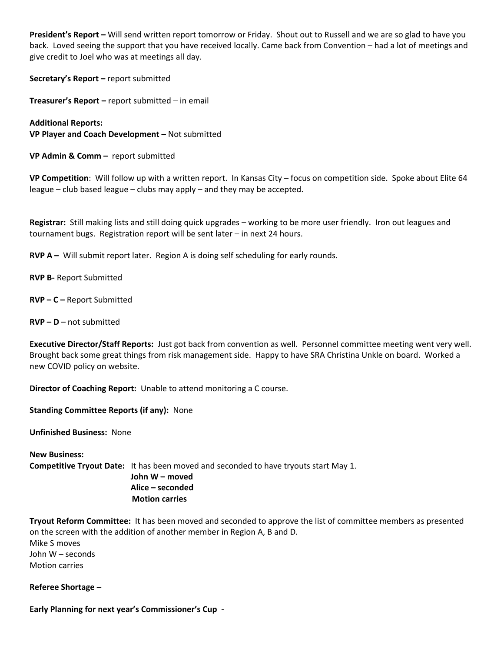**President's Report –** Will send written report tomorrow or Friday. Shout out to Russell and we are so glad to have you back. Loved seeing the support that you have received locally. Came back from Convention – had a lot of meetings and give credit to Joel who was at meetings all day.

**Secretary's Report –** report submitted

**Treasurer's Report –** report submitted – in email

**Additional Reports: VP Player and Coach Development –** Not submitted

**VP Admin & Comm –** report submitted

**VP Competition**: Will follow up with a written report. In Kansas City – focus on competition side. Spoke about Elite 64 league – club based league – clubs may apply – and they may be accepted.

**Registrar:** Still making lists and still doing quick upgrades – working to be more user friendly. Iron out leagues and tournament bugs. Registration report will be sent later – in next 24 hours.

**RVP A –** Will submit report later. Region A is doing self scheduling for early rounds.

**RVP B-** Report Submitted

**RVP – C –** Report Submitted

**RVP – D** – not submitted

**Executive Director/Staff Reports:** Just got back from convention as well. Personnel committee meeting went very well. Brought back some great things from risk management side. Happy to have SRA Christina Unkle on board. Worked a new COVID policy on website.

**Director of Coaching Report:** Unable to attend monitoring a C course.

**Standing Committee Reports (if any):** None

**Unfinished Business:** None

**New Business: Competitive Tryout Date:** It has been moved and seconded to have tryouts start May 1.  **John W – moved Alice – seconded**

 **Motion carries**

**Tryout Reform Committee:** It has been moved and seconded to approve the list of committee members as presented on the screen with the addition of another member in Region A, B and D. Mike S moves John W – seconds Motion carries

**Referee Shortage –**

**Early Planning for next year's Commissioner's Cup -**